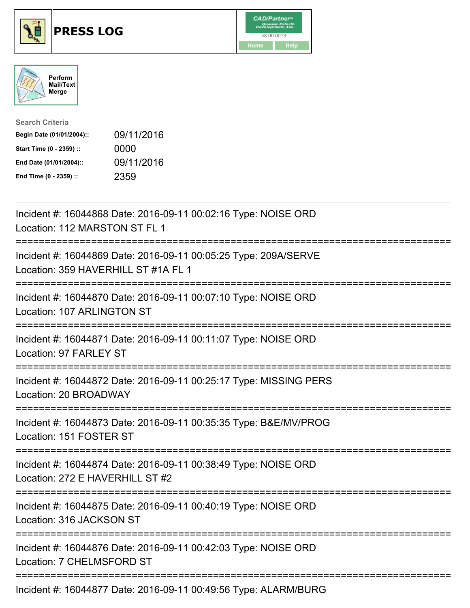

## **PRESS LOG** v8.00.0013





| <b>Search Criteria</b>    |            |
|---------------------------|------------|
| Begin Date (01/01/2004):: | 09/11/2016 |
| Start Time (0 - 2359) ::  | 0000       |
| End Date (01/01/2004)::   | 09/11/2016 |
| End Time (0 - 2359) ::    | 2359       |

Incident #: 16044868 Date: 2016-09-11 00:02:16 Type: NOISE ORD Location: 112 MARSTON ST FL 1 =========================================================================== Incident #: 16044869 Date: 2016-09-11 00:05:25 Type: 209A/SERVE Location: 359 HAVERHILL ST #1A FL 1 =========================================================================== Incident #: 16044870 Date: 2016-09-11 00:07:10 Type: NOISE ORD Location: 107 ARLINGTON ST =========================================================================== Incident #: 16044871 Date: 2016-09-11 00:11:07 Type: NOISE ORD Location: 97 FARLEY ST =========================================================================== Incident #: 16044872 Date: 2016-09-11 00:25:17 Type: MISSING PERS Location: 20 BROADWAY =========================================================================== Incident #: 16044873 Date: 2016-09-11 00:35:35 Type: B&E/MV/PROG Location: 151 FOSTER ST =========================================================================== Incident #: 16044874 Date: 2016-09-11 00:38:49 Type: NOISE ORD Location: 272 E HAVERHILL ST #2 =========================================================================== Incident #: 16044875 Date: 2016-09-11 00:40:19 Type: NOISE ORD Location: 316 JACKSON ST =========================================================================== Incident #: 16044876 Date: 2016-09-11 00:42:03 Type: NOISE ORD Location: 7 CHELMSFORD ST =========================================================================== Incident #: 16044877 Date: 2016-09-11 00:49:56 Type: ALARM/BURG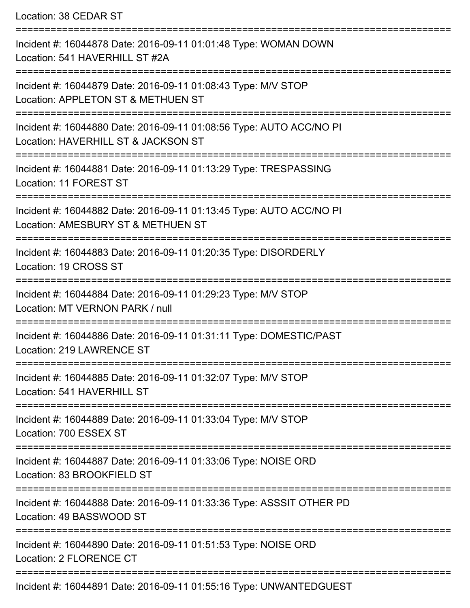Location: 38 CEDAR ST =========================================================================== Incident #: 16044878 Date: 2016-09-11 01:01:48 Type: WOMAN DOWN Location: 541 HAVERHILL ST #2A =========================================================================== Incident #: 16044879 Date: 2016-09-11 01:08:43 Type: M/V STOP Location: APPLETON ST & METHUEN ST =========================================================================== Incident #: 16044880 Date: 2016-09-11 01:08:56 Type: AUTO ACC/NO PI Location: HAVERHILL ST & JACKSON ST =========================================================================== Incident #: 16044881 Date: 2016-09-11 01:13:29 Type: TRESPASSING Location: 11 FOREST ST ======================== Incident #: 16044882 Date: 2016-09-11 01:13:45 Type: AUTO ACC/NO PI Location: AMESBURY ST & METHUEN ST =========================================================================== Incident #: 16044883 Date: 2016-09-11 01:20:35 Type: DISORDERLY Location: 19 CROSS ST =========================================================================== Incident #: 16044884 Date: 2016-09-11 01:29:23 Type: M/V STOP Location: MT VERNON PARK / null =========================================================================== Incident #: 16044886 Date: 2016-09-11 01:31:11 Type: DOMESTIC/PAST Location: 219 LAWRENCE ST =========================================================================== Incident #: 16044885 Date: 2016-09-11 01:32:07 Type: M/V STOP Location: 541 HAVERHILL ST =========================================================================== Incident #: 16044889 Date: 2016-09-11 01:33:04 Type: M/V STOP Location: 700 ESSEX ST =========================================================================== Incident #: 16044887 Date: 2016-09-11 01:33:06 Type: NOISE ORD Location: 83 BROOKFIFLD ST =========================================================================== Incident #: 16044888 Date: 2016-09-11 01:33:36 Type: ASSSIT OTHER PD Location: 49 BASSWOOD ST =========================================================================== Incident #: 16044890 Date: 2016-09-11 01:51:53 Type: NOISE ORD Location: 2 FLORENCE CT =========================================================================== Incident #: 16044891 Date: 2016-09-11 01:55:16 Type: UNWANTEDGUEST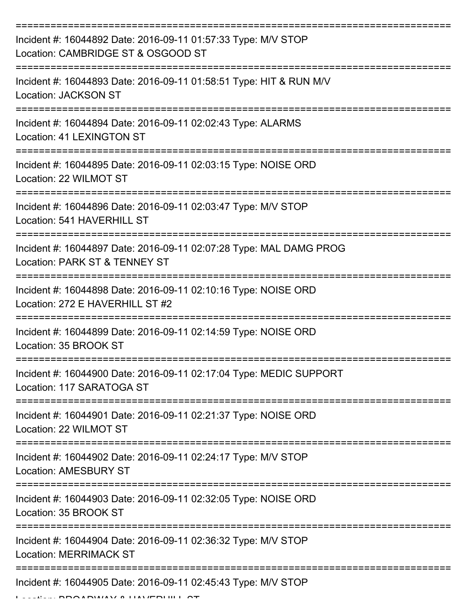| Incident #: 16044892 Date: 2016-09-11 01:57:33 Type: M/V STOP<br>Location: CAMBRIDGE ST & OSGOOD ST                                   |
|---------------------------------------------------------------------------------------------------------------------------------------|
| Incident #: 16044893 Date: 2016-09-11 01:58:51 Type: HIT & RUN M/V<br>Location: JACKSON ST                                            |
| Incident #: 16044894 Date: 2016-09-11 02:02:43 Type: ALARMS<br><b>Location: 41 LEXINGTON ST</b>                                       |
| Incident #: 16044895 Date: 2016-09-11 02:03:15 Type: NOISE ORD<br>Location: 22 WILMOT ST                                              |
| Incident #: 16044896 Date: 2016-09-11 02:03:47 Type: M/V STOP<br>Location: 541 HAVERHILL ST<br>====================================== |
| Incident #: 16044897 Date: 2016-09-11 02:07:28 Type: MAL DAMG PROG<br>Location: PARK ST & TENNEY ST                                   |
| Incident #: 16044898 Date: 2016-09-11 02:10:16 Type: NOISE ORD<br>Location: 272 E HAVERHILL ST #2                                     |
| Incident #: 16044899 Date: 2016-09-11 02:14:59 Type: NOISE ORD<br>Location: 35 BROOK ST                                               |
| Incident #: 16044900 Date: 2016-09-11 02:17:04 Type: MEDIC SUPPORT<br>Location: 117 SARATOGA ST                                       |
| Incident #: 16044901 Date: 2016-09-11 02:21:37 Type: NOISE ORD<br>Location: 22 WILMOT ST                                              |
| Incident #: 16044902 Date: 2016-09-11 02:24:17 Type: M/V STOP<br><b>Location: AMESBURY ST</b>                                         |
| Incident #: 16044903 Date: 2016-09-11 02:32:05 Type: NOISE ORD<br>Location: 35 BROOK ST                                               |
| Incident #: 16044904 Date: 2016-09-11 02:36:32 Type: M/V STOP<br><b>Location: MERRIMACK ST</b>                                        |
| Incident #: 16044905 Date: 2016-09-11 02:45:43 Type: M/V STOP                                                                         |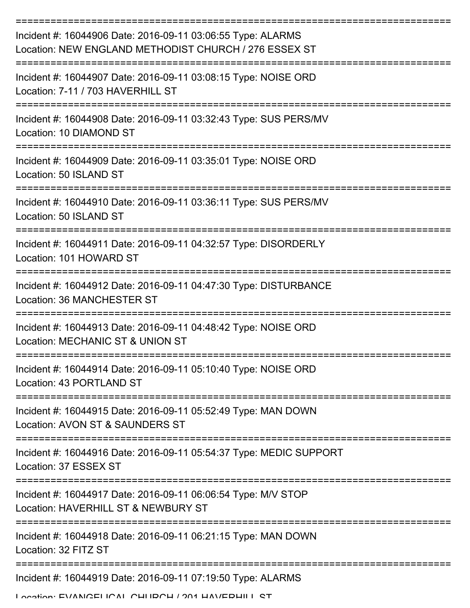| Incident #: 16044906 Date: 2016-09-11 03:06:55 Type: ALARMS<br>Location: NEW ENGLAND METHODIST CHURCH / 276 ESSEX ST                      |
|-------------------------------------------------------------------------------------------------------------------------------------------|
| Incident #: 16044907 Date: 2016-09-11 03:08:15 Type: NOISE ORD<br>Location: 7-11 / 703 HAVERHILL ST                                       |
| Incident #: 16044908 Date: 2016-09-11 03:32:43 Type: SUS PERS/MV<br>Location: 10 DIAMOND ST                                               |
| Incident #: 16044909 Date: 2016-09-11 03:35:01 Type: NOISE ORD<br>Location: 50 ISLAND ST                                                  |
| Incident #: 16044910 Date: 2016-09-11 03:36:11 Type: SUS PERS/MV<br>Location: 50 ISLAND ST                                                |
| Incident #: 16044911 Date: 2016-09-11 04:32:57 Type: DISORDERLY<br>Location: 101 HOWARD ST                                                |
| Incident #: 16044912 Date: 2016-09-11 04:47:30 Type: DISTURBANCE<br>Location: 36 MANCHESTER ST                                            |
| Incident #: 16044913 Date: 2016-09-11 04:48:42 Type: NOISE ORD<br>Location: MECHANIC ST & UNION ST                                        |
| Incident #: 16044914 Date: 2016-09-11 05:10:40 Type: NOISE ORD<br>Location: 43 PORTLAND ST<br>----------------                            |
| =============<br>Incident #: 16044915 Date: 2016-09-11 05:52:49 Type: MAN DOWN<br>Location: AVON ST & SAUNDERS ST                         |
| Incident #: 16044916 Date: 2016-09-11 05:54:37 Type: MEDIC SUPPORT<br>Location: 37 ESSEX ST                                               |
| :================================<br>Incident #: 16044917 Date: 2016-09-11 06:06:54 Type: M/V STOP<br>Location: HAVERHILL ST & NEWBURY ST |
| Incident #: 16044918 Date: 2016-09-11 06:21:15 Type: MAN DOWN<br>Location: 32 FITZ ST                                                     |
| Incident #: 16044919 Date: 2016-09-11 07:19:50 Type: ALARMS                                                                               |
| I ocation: EVANICELICAL CHIIDCH / 201 HAV/EDHII I CT                                                                                      |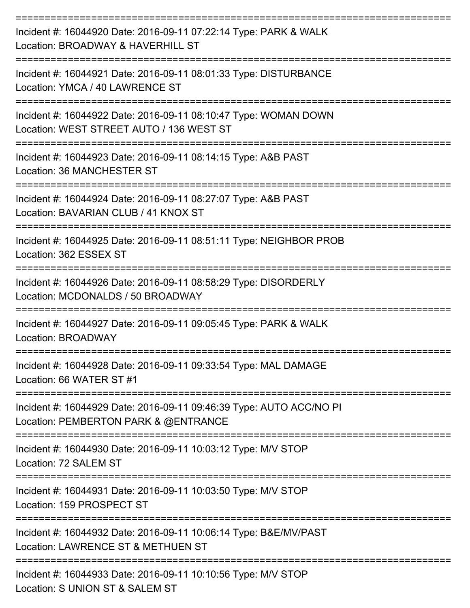| Incident #: 16044920 Date: 2016-09-11 07:22:14 Type: PARK & WALK<br>Location: BROADWAY & HAVERHILL ST                        |
|------------------------------------------------------------------------------------------------------------------------------|
| Incident #: 16044921 Date: 2016-09-11 08:01:33 Type: DISTURBANCE<br>Location: YMCA / 40 LAWRENCE ST                          |
| Incident #: 16044922 Date: 2016-09-11 08:10:47 Type: WOMAN DOWN<br>Location: WEST STREET AUTO / 136 WEST ST                  |
| =========================<br>Incident #: 16044923 Date: 2016-09-11 08:14:15 Type: A&B PAST<br>Location: 36 MANCHESTER ST     |
| ===============<br>Incident #: 16044924 Date: 2016-09-11 08:27:07 Type: A&B PAST<br>Location: BAVARIAN CLUB / 41 KNOX ST     |
| Incident #: 16044925 Date: 2016-09-11 08:51:11 Type: NEIGHBOR PROB<br>Location: 362 ESSEX ST                                 |
| --------------------<br>Incident #: 16044926 Date: 2016-09-11 08:58:29 Type: DISORDERLY<br>Location: MCDONALDS / 50 BROADWAY |
| Incident #: 16044927 Date: 2016-09-11 09:05:45 Type: PARK & WALK<br>Location: BROADWAY                                       |
| Incident #: 16044928 Date: 2016-09-11 09:33:54 Type: MAL DAMAGE<br>Location: 66 WATER ST #1                                  |
| Incident #: 16044929 Date: 2016-09-11 09:46:39 Type: AUTO ACC/NO PI<br>Location: PEMBERTON PARK & @ENTRANCE                  |
| Incident #: 16044930 Date: 2016-09-11 10:03:12 Type: M/V STOP<br>Location: 72 SALEM ST                                       |
| Incident #: 16044931 Date: 2016-09-11 10:03:50 Type: M/V STOP<br>Location: 159 PROSPECT ST                                   |
| Incident #: 16044932 Date: 2016-09-11 10:06:14 Type: B&E/MV/PAST<br>Location: LAWRENCE ST & METHUEN ST                       |
| Incident #: 16044933 Date: 2016-09-11 10:10:56 Type: M/V STOP<br>Location: CLINIION CT & CALEM CT                            |

Location: S UNION ST & SALEM ST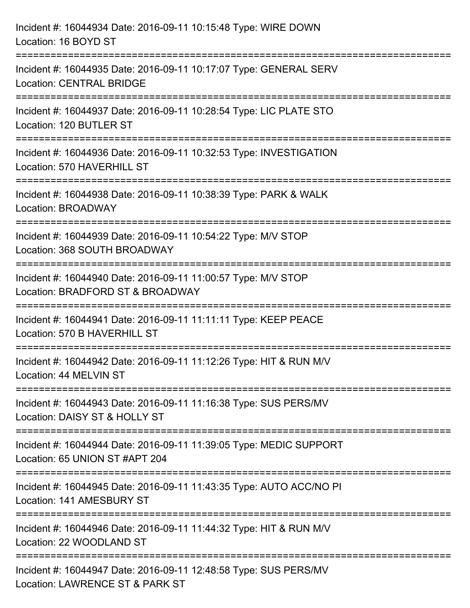| Incident #: 16044934 Date: 2016-09-11 10:15:48 Type: WIRE DOWN<br>Location: 16 BOYD ST                                   |
|--------------------------------------------------------------------------------------------------------------------------|
| Incident #: 16044935 Date: 2016-09-11 10:17:07 Type: GENERAL SERV<br><b>Location: CENTRAL BRIDGE</b>                     |
| Incident #: 16044937 Date: 2016-09-11 10:28:54 Type: LIC PLATE STO<br>Location: 120 BUTLER ST                            |
| Incident #: 16044936 Date: 2016-09-11 10:32:53 Type: INVESTIGATION<br>Location: 570 HAVERHILL ST<br>-------------------  |
| Incident #: 16044938 Date: 2016-09-11 10:38:39 Type: PARK & WALK<br><b>Location: BROADWAY</b>                            |
| Incident #: 16044939 Date: 2016-09-11 10:54:22 Type: M/V STOP<br>Location: 368 SOUTH BROADWAY                            |
| :==================<br>Incident #: 16044940 Date: 2016-09-11 11:00:57 Type: M/V STOP<br>Location: BRADFORD ST & BROADWAY |
| Incident #: 16044941 Date: 2016-09-11 11:11:11 Type: KEEP PEACE<br>Location: 570 B HAVERHILL ST                          |
| Incident #: 16044942 Date: 2016-09-11 11:12:26 Type: HIT & RUN M/V<br>Location: 44 MELVIN ST                             |
| Incident #: 16044943 Date: 2016-09-11 11:16:38 Type: SUS PERS/MV<br>Location: DAISY ST & HOLLY ST                        |
| Incident #: 16044944 Date: 2016-09-11 11:39:05 Type: MEDIC SUPPORT<br>Location: 65 UNION ST #APT 204                     |
| Incident #: 16044945 Date: 2016-09-11 11:43:35 Type: AUTO ACC/NO PI<br>Location: 141 AMESBURY ST                         |
| Incident #: 16044946 Date: 2016-09-11 11:44:32 Type: HIT & RUN M/V<br>Location: 22 WOODLAND ST                           |
| Incident #: 16044947 Date: 2016-09-11 12:48:58 Type: SUS PERS/MV<br>Location: LAWRENCE ST & PARK ST                      |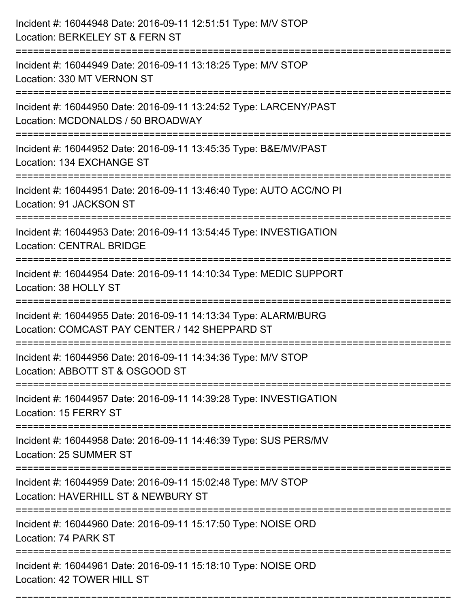| Incident #: 16044948 Date: 2016-09-11 12:51:51 Type: M/V STOP<br>Location: BERKELEY ST & FERN ST                                                |
|-------------------------------------------------------------------------------------------------------------------------------------------------|
| Incident #: 16044949 Date: 2016-09-11 13:18:25 Type: M/V STOP<br>Location: 330 MT VERNON ST                                                     |
| Incident #: 16044950 Date: 2016-09-11 13:24:52 Type: LARCENY/PAST<br>Location: MCDONALDS / 50 BROADWAY<br>===================================== |
| Incident #: 16044952 Date: 2016-09-11 13:45:35 Type: B&E/MV/PAST<br>Location: 134 EXCHANGE ST                                                   |
| Incident #: 16044951 Date: 2016-09-11 13:46:40 Type: AUTO ACC/NO PI<br>Location: 91 JACKSON ST<br>:====================================         |
| Incident #: 16044953 Date: 2016-09-11 13:54:45 Type: INVESTIGATION<br><b>Location: CENTRAL BRIDGE</b><br>:===================                   |
| Incident #: 16044954 Date: 2016-09-11 14:10:34 Type: MEDIC SUPPORT<br>Location: 38 HOLLY ST                                                     |
| Incident #: 16044955 Date: 2016-09-11 14:13:34 Type: ALARM/BURG<br>Location: COMCAST PAY CENTER / 142 SHEPPARD ST                               |
| Incident #: 16044956 Date: 2016-09-11 14:34:36 Type: M/V STOP<br>Location: ABBOTT ST & OSGOOD ST                                                |
| Incident #: 16044957 Date: 2016-09-11 14:39:28 Type: INVESTIGATION<br>Location: 15 FERRY ST                                                     |
| Incident #: 16044958 Date: 2016-09-11 14:46:39 Type: SUS PERS/MV<br>Location: 25 SUMMER ST                                                      |
| Incident #: 16044959 Date: 2016-09-11 15:02:48 Type: M/V STOP<br>Location: HAVERHILL ST & NEWBURY ST                                            |
| Incident #: 16044960 Date: 2016-09-11 15:17:50 Type: NOISE ORD<br>Location: 74 PARK ST                                                          |
| Incident #: 16044961 Date: 2016-09-11 15:18:10 Type: NOISE ORD<br>Location: 42 TOWER HILL ST                                                    |

===========================================================================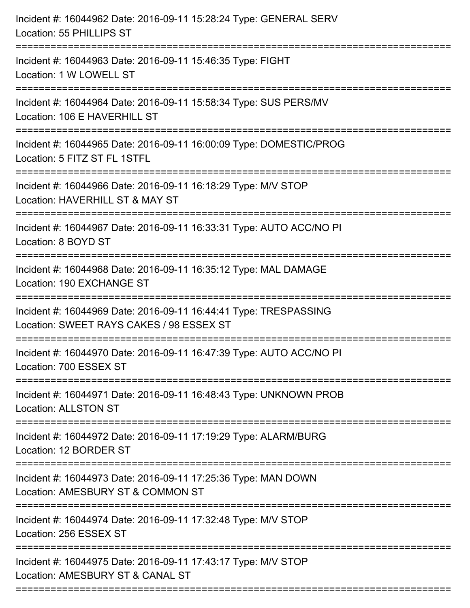| Incident #: 16044962 Date: 2016-09-11 15:28:24 Type: GENERAL SERV<br>Location: 55 PHILLIPS ST<br>==========================              |
|------------------------------------------------------------------------------------------------------------------------------------------|
| Incident #: 16044963 Date: 2016-09-11 15:46:35 Type: FIGHT<br>Location: 1 W LOWELL ST                                                    |
| Incident #: 16044964 Date: 2016-09-11 15:58:34 Type: SUS PERS/MV<br>Location: 106 E HAVERHILL ST<br>==================================== |
| Incident #: 16044965 Date: 2016-09-11 16:00:09 Type: DOMESTIC/PROG<br>Location: 5 FITZ ST FL 1STFL                                       |
| Incident #: 16044966 Date: 2016-09-11 16:18:29 Type: M/V STOP<br>Location: HAVERHILL ST & MAY ST                                         |
| Incident #: 16044967 Date: 2016-09-11 16:33:31 Type: AUTO ACC/NO PI<br>Location: 8 BOYD ST                                               |
| Incident #: 16044968 Date: 2016-09-11 16:35:12 Type: MAL DAMAGE<br>Location: 190 EXCHANGE ST                                             |
| Incident #: 16044969 Date: 2016-09-11 16:44:41 Type: TRESPASSING<br>Location: SWEET RAYS CAKES / 98 ESSEX ST                             |
| Incident #: 16044970 Date: 2016-09-11 16:47:39 Type: AUTO ACC/NO PI<br>Location: 700 ESSEX ST                                            |
| Incident #: 16044971 Date: 2016-09-11 16:48:43 Type: UNKNOWN PROB<br><b>Location: ALLSTON ST</b>                                         |
| Incident #: 16044972 Date: 2016-09-11 17:19:29 Type: ALARM/BURG<br>Location: 12 BORDER ST                                                |
| Incident #: 16044973 Date: 2016-09-11 17:25:36 Type: MAN DOWN<br>Location: AMESBURY ST & COMMON ST                                       |
| Incident #: 16044974 Date: 2016-09-11 17:32:48 Type: M/V STOP<br>Location: 256 ESSEX ST                                                  |
| Incident #: 16044975 Date: 2016-09-11 17:43:17 Type: M/V STOP<br>Location: AMESBURY ST & CANAL ST                                        |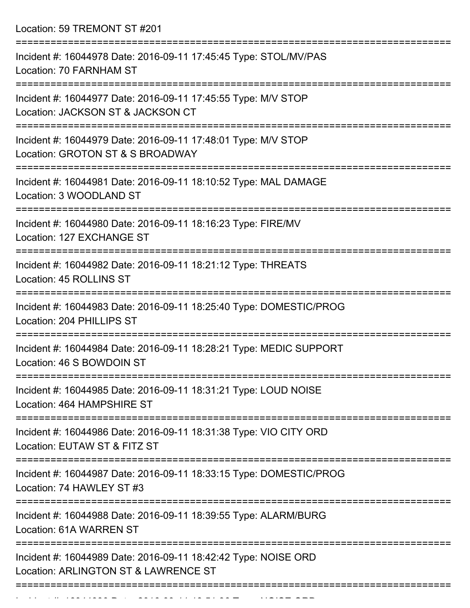Location: 59 TREMONT ST #201

| Incident #: 16044978 Date: 2016-09-11 17:45:45 Type: STOL/MV/PAS<br>Location: 70 FARNHAM ST            |
|--------------------------------------------------------------------------------------------------------|
| Incident #: 16044977 Date: 2016-09-11 17:45:55 Type: M/V STOP<br>Location: JACKSON ST & JACKSON CT     |
| Incident #: 16044979 Date: 2016-09-11 17:48:01 Type: M/V STOP<br>Location: GROTON ST & S BROADWAY      |
| Incident #: 16044981 Date: 2016-09-11 18:10:52 Type: MAL DAMAGE<br>Location: 3 WOODLAND ST             |
| Incident #: 16044980 Date: 2016-09-11 18:16:23 Type: FIRE/MV<br>Location: 127 EXCHANGE ST              |
| Incident #: 16044982 Date: 2016-09-11 18:21:12 Type: THREATS<br>Location: 45 ROLLINS ST                |
| Incident #: 16044983 Date: 2016-09-11 18:25:40 Type: DOMESTIC/PROG<br>Location: 204 PHILLIPS ST        |
| Incident #: 16044984 Date: 2016-09-11 18:28:21 Type: MEDIC SUPPORT<br>Location: 46 S BOWDOIN ST        |
| Incident #: 16044985 Date: 2016-09-11 18:31:21 Type: LOUD NOISE<br>Location: 464 HAMPSHIRE ST          |
| Incident #: 16044986 Date: 2016-09-11 18:31:38 Type: VIO CITY ORD<br>Location: EUTAW ST & FITZ ST      |
| Incident #: 16044987 Date: 2016-09-11 18:33:15 Type: DOMESTIC/PROG<br>Location: 74 HAWLEY ST #3        |
| Incident #: 16044988 Date: 2016-09-11 18:39:55 Type: ALARM/BURG<br>Location: 61A WARREN ST             |
| Incident #: 16044989 Date: 2016-09-11 18:42:42 Type: NOISE ORD<br>Location: ARLINGTON ST & LAWRENCE ST |
|                                                                                                        |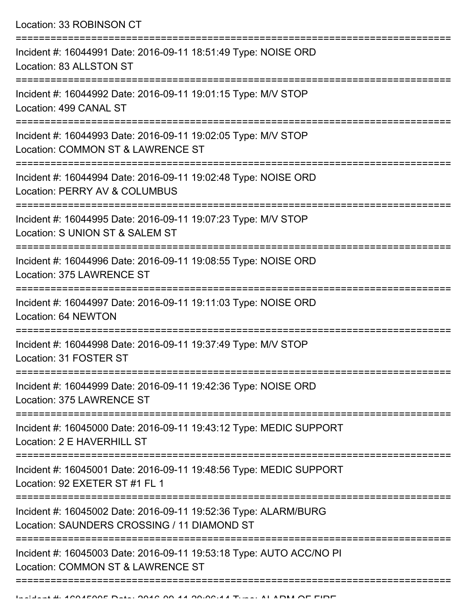Location: 33 ROBINSON CT =========================================================================== Incident #: 16044991 Date: 2016-09-11 18:51:49 Type: NOISE ORD Location: 83 ALLSTON ST =========================================================================== Incident #: 16044992 Date: 2016-09-11 19:01:15 Type: M/V STOP Location: 499 CANAL ST =========================================================================== Incident #: 16044993 Date: 2016-09-11 19:02:05 Type: M/V STOP Location: COMMON ST & LAWRENCE ST =========================================================================== Incident #: 16044994 Date: 2016-09-11 19:02:48 Type: NOISE ORD Location: PERRY AV & COLUMBUS =========================================================================== Incident #: 16044995 Date: 2016-09-11 19:07:23 Type: M/V STOP Location: S UNION ST & SALEM ST =========================================================================== Incident #: 16044996 Date: 2016-09-11 19:08:55 Type: NOISE ORD Location: 375 LAWRENCE ST =========================================================================== Incident #: 16044997 Date: 2016-09-11 19:11:03 Type: NOISE ORD Location: 64 NEWTON =========================================================================== Incident #: 16044998 Date: 2016-09-11 19:37:49 Type: M/V STOP Location: 31 FOSTER ST =========================================================================== Incident #: 16044999 Date: 2016-09-11 19:42:36 Type: NOISE ORD Location: 375 LAWRENCE ST =========================================================================== Incident #: 16045000 Date: 2016-09-11 19:43:12 Type: MEDIC SUPPORT Location: 2 F HAVERHILL ST =========================================================================== Incident #: 16045001 Date: 2016-09-11 19:48:56 Type: MEDIC SUPPORT Location: 92 EXETER ST #1 FL 1 =========================================================================== Incident #: 16045002 Date: 2016-09-11 19:52:36 Type: ALARM/BURG Location: SAUNDERS CROSSING / 11 DIAMOND ST =========================================================================== Incident #: 16045003 Date: 2016-09-11 19:53:18 Type: AUTO ACC/NO PI Location: COMMON ST & LAWRENCE ST

============================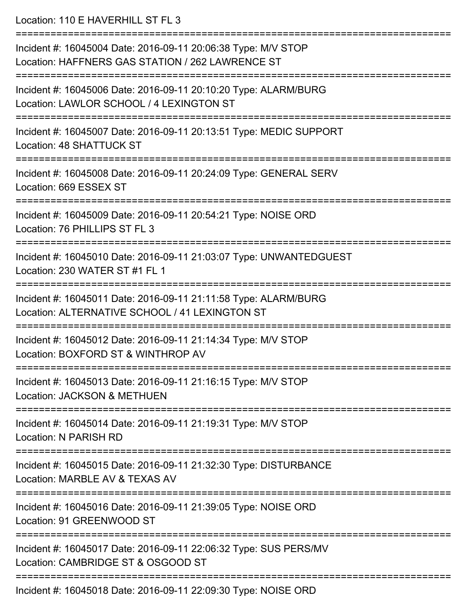Location: 110 F HAVERHILL ST FL 3 =========================================================================== Incident #: 16045004 Date: 2016-09-11 20:06:38 Type: M/V STOP Location: HAFFNERS GAS STATION / 262 LAWRENCE ST =========================================================================== Incident #: 16045006 Date: 2016-09-11 20:10:20 Type: ALARM/BURG Location: LAWLOR SCHOOL / 4 LEXINGTON ST =========================================================================== Incident #: 16045007 Date: 2016-09-11 20:13:51 Type: MEDIC SUPPORT Location: 48 SHATTUCK ST =========================================================================== Incident #: 16045008 Date: 2016-09-11 20:24:09 Type: GENERAL SERV Location: 669 ESSEX ST :====================== Incident #: 16045009 Date: 2016-09-11 20:54:21 Type: NOISE ORD Location: 76 PHILLIPS ST FL 3 =========================================================================== Incident #: 16045010 Date: 2016-09-11 21:03:07 Type: UNWANTEDGUEST Location: 230 WATER ST #1 FL 1 =========================================================================== Incident #: 16045011 Date: 2016-09-11 21:11:58 Type: ALARM/BURG Location: ALTERNATIVE SCHOOL / 41 LEXINGTON ST =========================================================================== Incident #: 16045012 Date: 2016-09-11 21:14:34 Type: M/V STOP Location: BOXFORD ST & WINTHROP AV =========================================================================== Incident #: 16045013 Date: 2016-09-11 21:16:15 Type: M/V STOP Location: JACKSON & METHUEN =========================================================================== Incident #: 16045014 Date: 2016-09-11 21:19:31 Type: M/V STOP Location: N PARISH RD =========================================================================== Incident #: 16045015 Date: 2016-09-11 21:32:30 Type: DISTURBANCE Location: MARBLE AV & TEXAS AV =========================================================================== Incident #: 16045016 Date: 2016-09-11 21:39:05 Type: NOISE ORD Location: 91 GREENWOOD ST =========================================================================== Incident #: 16045017 Date: 2016-09-11 22:06:32 Type: SUS PERS/MV Location: CAMBRIDGE ST & OSGOOD ST

Incident #: 16045018 Date: 2016-09-11 22:09:30 Type: NOISE ORD

===========================================================================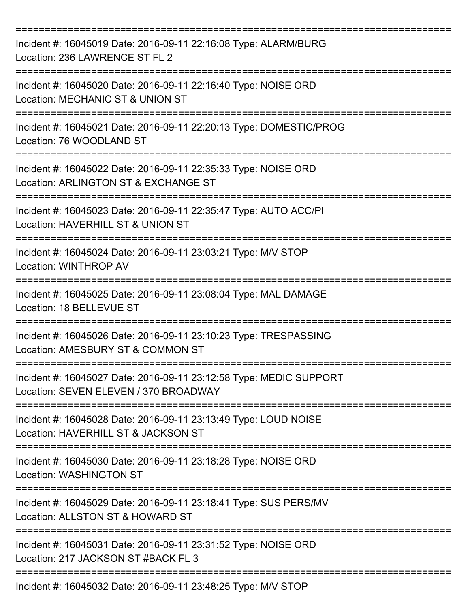| Incident #: 16045019 Date: 2016-09-11 22:16:08 Type: ALARM/BURG<br>Location: 236 LAWRENCE ST FL 2                                             |
|-----------------------------------------------------------------------------------------------------------------------------------------------|
| Incident #: 16045020 Date: 2016-09-11 22:16:40 Type: NOISE ORD<br>Location: MECHANIC ST & UNION ST                                            |
| Incident #: 16045021 Date: 2016-09-11 22:20:13 Type: DOMESTIC/PROG<br>Location: 76 WOODLAND ST                                                |
| Incident #: 16045022 Date: 2016-09-11 22:35:33 Type: NOISE ORD<br>Location: ARLINGTON ST & EXCHANGE ST                                        |
| Incident #: 16045023 Date: 2016-09-11 22:35:47 Type: AUTO ACC/PI<br>Location: HAVERHILL ST & UNION ST<br>:=================================== |
| Incident #: 16045024 Date: 2016-09-11 23:03:21 Type: M/V STOP<br>Location: WINTHROP AV                                                        |
| Incident #: 16045025 Date: 2016-09-11 23:08:04 Type: MAL DAMAGE<br>Location: 18 BELLEVUE ST                                                   |
| Incident #: 16045026 Date: 2016-09-11 23:10:23 Type: TRESPASSING<br>Location: AMESBURY ST & COMMON ST                                         |
| Incident #: 16045027 Date: 2016-09-11 23:12:58 Type: MEDIC SUPPORT<br>Location: SEVEN ELEVEN / 370 BROADWAY                                   |
| Incident #: 16045028 Date: 2016-09-11 23:13:49 Type: LOUD NOISE<br>Location: HAVERHILL ST & JACKSON ST                                        |
| Incident #: 16045030 Date: 2016-09-11 23:18:28 Type: NOISE ORD<br><b>Location: WASHINGTON ST</b>                                              |
| Incident #: 16045029 Date: 2016-09-11 23:18:41 Type: SUS PERS/MV<br>Location: ALLSTON ST & HOWARD ST                                          |
| Incident #: 16045031 Date: 2016-09-11 23:31:52 Type: NOISE ORD<br>Location: 217 JACKSON ST #BACK FL 3                                         |
| Incident #: 16045032 Date: 2016-09-11 23:48:25 Type: M/V STOP                                                                                 |